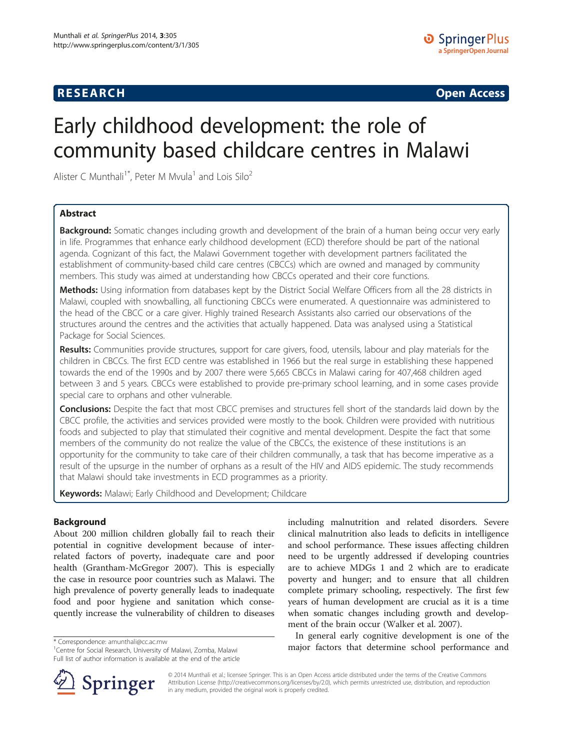# **RESEARCH RESEARCH CONSUMING ACCESS**

# Early childhood development: the role of community based childcare centres in Malawi

Alister C Munthali<sup>1\*</sup>, Peter M Mvula<sup>1</sup> and Lois Silo<sup>2</sup>

# Abstract

**Background:** Somatic changes including growth and development of the brain of a human being occur very early in life. Programmes that enhance early childhood development (ECD) therefore should be part of the national agenda. Cognizant of this fact, the Malawi Government together with development partners facilitated the establishment of community-based child care centres (CBCCs) which are owned and managed by community members. This study was aimed at understanding how CBCCs operated and their core functions.

Methods: Using information from databases kept by the District Social Welfare Officers from all the 28 districts in Malawi, coupled with snowballing, all functioning CBCCs were enumerated. A questionnaire was administered to the head of the CBCC or a care giver. Highly trained Research Assistants also carried our observations of the structures around the centres and the activities that actually happened. Data was analysed using a Statistical Package for Social Sciences.

Results: Communities provide structures, support for care givers, food, utensils, labour and play materials for the children in CBCCs. The first ECD centre was established in 1966 but the real surge in establishing these happened towards the end of the 1990s and by 2007 there were 5,665 CBCCs in Malawi caring for 407,468 children aged between 3 and 5 years. CBCCs were established to provide pre-primary school learning, and in some cases provide special care to orphans and other vulnerable.

Conclusions: Despite the fact that most CBCC premises and structures fell short of the standards laid down by the CBCC profile, the activities and services provided were mostly to the book. Children were provided with nutritious foods and subjected to play that stimulated their cognitive and mental development. Despite the fact that some members of the community do not realize the value of the CBCCs, the existence of these institutions is an opportunity for the community to take care of their children communally, a task that has become imperative as a result of the upsurge in the number of orphans as a result of the HIV and AIDS epidemic. The study recommends that Malawi should take investments in ECD programmes as a priority.

Keywords: Malawi; Early Childhood and Development; Childcare

## Background

About 200 million children globally fail to reach their potential in cognitive development because of interrelated factors of poverty, inadequate care and poor health (Grantham-McGregor [2007](#page-9-0)). This is especially the case in resource poor countries such as Malawi. The high prevalence of poverty generally leads to inadequate food and poor hygiene and sanitation which consequently increase the vulnerability of children to diseases

<sup>1</sup> Centre for Social Research, University of Malawi, Zomba, Malawi Full list of author information is available at the end of the article



In general early cognitive development is one of the major factors that determine school performance and \* Correspondence: [amunthali@cc.ac.mw](mailto:amunthali@cc.ac.mw) <sup>1</sup>



© 2014 Munthali et al.; licensee Springer. This is an Open Access article distributed under the terms of the Creative Commons Attribution License [\(http://creativecommons.org/licenses/by/2.0\)](http://creativecommons.org/licenses/by/2.0), which permits unrestricted use, distribution, and reproduction in any medium, provided the original work is properly credited.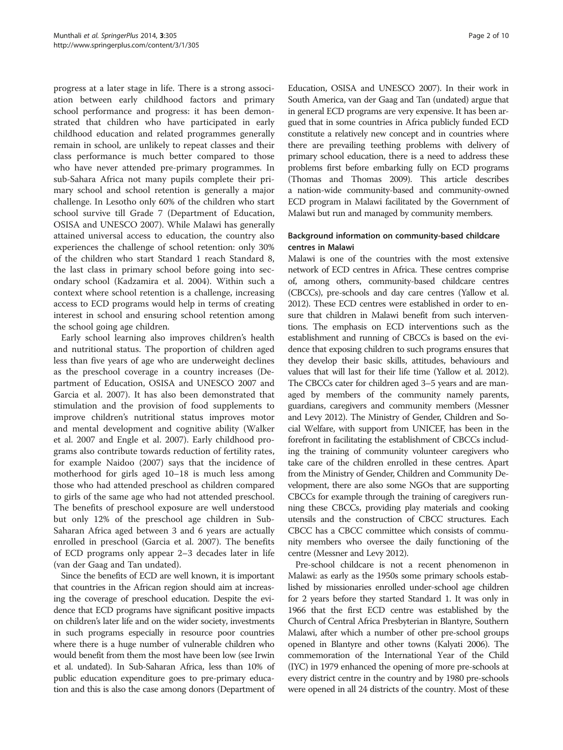progress at a later stage in life. There is a strong association between early childhood factors and primary school performance and progress: it has been demonstrated that children who have participated in early childhood education and related programmes generally remain in school, are unlikely to repeat classes and their class performance is much better compared to those who have never attended pre-primary programmes. In sub-Sahara Africa not many pupils complete their primary school and school retention is generally a major challenge. In Lesotho only 60% of the children who start school survive till Grade 7 (Department of Education, OSISA and UNESCO [2007](#page-9-0)). While Malawi has generally attained universal access to education, the country also experiences the challenge of school retention: only 30% of the children who start Standard 1 reach Standard 8, the last class in primary school before going into secondary school (Kadzamira et al. [2004\)](#page-9-0). Within such a context where school retention is a challenge, increasing access to ECD programs would help in terms of creating interest in school and ensuring school retention among the school going age children.

Early school learning also improves children's health and nutritional status. The proportion of children aged less than five years of age who are underweight declines as the preschool coverage in a country increases (Department of Education, OSISA and UNESCO [2007](#page-9-0) and Garcia et al. [2007](#page-9-0)). It has also been demonstrated that stimulation and the provision of food supplements to improve children's nutritional status improves motor and mental development and cognitive ability (Walker et al. [2007](#page-9-0) and Engle et al. [2007](#page-9-0)). Early childhood programs also contribute towards reduction of fertility rates, for example Naidoo [\(2007](#page-9-0)) says that the incidence of motherhood for girls aged 10–18 is much less among those who had attended preschool as children compared to girls of the same age who had not attended preschool. The benefits of preschool exposure are well understood but only 12% of the preschool age children in Sub-Saharan Africa aged between 3 and 6 years are actually enrolled in preschool (Garcia et al. [2007\)](#page-9-0). The benefits of ECD programs only appear 2–3 decades later in life ([van der Gaag and Tan undated\)](#page-9-0).

Since the benefits of ECD are well known, it is important that countries in the African region should aim at increasing the coverage of preschool education. Despite the evidence that ECD programs have significant positive impacts on children's later life and on the wider society, investments in such programs especially in resource poor countries where there is a huge number of vulnerable children who would benefit from them the most have been low (see [Irwin](#page-9-0) [et al. undated\)](#page-9-0). In Sub-Saharan Africa, less than 10% of public education expenditure goes to pre-primary education and this is also the case among donors (Department of Education, OSISA and UNESCO [2007](#page-9-0)). In their work in South America, [van der Gaag and Tan \(undated\)](#page-9-0) argue that in general ECD programs are very expensive. It has been argued that in some countries in Africa publicly funded ECD constitute a relatively new concept and in countries where there are prevailing teething problems with delivery of primary school education, there is a need to address these problems first before embarking fully on ECD programs (Thomas and Thomas [2009](#page-9-0)). This article describes a nation-wide community-based and community-owned ECD program in Malawi facilitated by the Government of Malawi but run and managed by community members.

## Background information on community-based childcare centres in Malawi

Malawi is one of the countries with the most extensive network of ECD centres in Africa. These centres comprise of, among others, community-based childcare centres (CBCCs), pre-schools and day care centres (Yallow et al. [2012\)](#page-9-0). These ECD centres were established in order to ensure that children in Malawi benefit from such interventions. The emphasis on ECD interventions such as the establishment and running of CBCCs is based on the evidence that exposing children to such programs ensures that they develop their basic skills, attitudes, behaviours and values that will last for their life time (Yallow et al. [2012](#page-9-0)). The CBCCs cater for children aged 3–5 years and are managed by members of the community namely parents, guardians, caregivers and community members (Messner and Levy [2012\)](#page-9-0). The Ministry of Gender, Children and Social Welfare, with support from UNICEF, has been in the forefront in facilitating the establishment of CBCCs including the training of community volunteer caregivers who take care of the children enrolled in these centres. Apart from the Ministry of Gender, Children and Community Development, there are also some NGOs that are supporting CBCCs for example through the training of caregivers running these CBCCs, providing play materials and cooking utensils and the construction of CBCC structures. Each CBCC has a CBCC committee which consists of community members who oversee the daily functioning of the centre (Messner and Levy [2012](#page-9-0)).

Pre-school childcare is not a recent phenomenon in Malawi: as early as the 1950s some primary schools established by missionaries enrolled under-school age children for 2 years before they started Standard 1. It was only in 1966 that the first ECD centre was established by the Church of Central Africa Presbyterian in Blantyre, Southern Malawi, after which a number of other pre-school groups opened in Blantyre and other towns (Kalyati [2006](#page-9-0)). The commemoration of the International Year of the Child (IYC) in 1979 enhanced the opening of more pre-schools at every district centre in the country and by 1980 pre-schools were opened in all 24 districts of the country. Most of these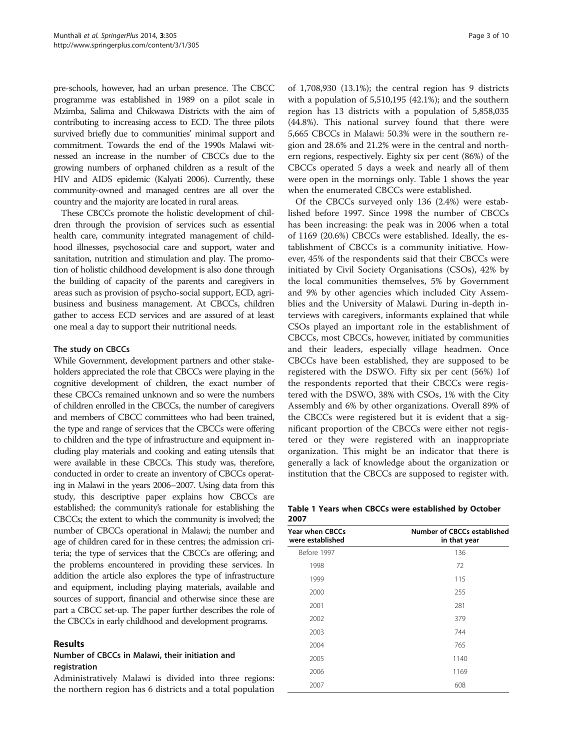pre-schools, however, had an urban presence. The CBCC programme was established in 1989 on a pilot scale in Mzimba, Salima and Chikwawa Districts with the aim of contributing to increasing access to ECD. The three pilots survived briefly due to communities' minimal support and commitment. Towards the end of the 1990s Malawi witnessed an increase in the number of CBCCs due to the growing numbers of orphaned children as a result of the HIV and AIDS epidemic (Kalyati [2006\)](#page-9-0). Currently, these community-owned and managed centres are all over the country and the majority are located in rural areas.

These CBCCs promote the holistic development of children through the provision of services such as essential health care, community integrated management of childhood illnesses, psychosocial care and support, water and sanitation, nutrition and stimulation and play. The promotion of holistic childhood development is also done through the building of capacity of the parents and caregivers in areas such as provision of psycho-social support, ECD, agribusiness and business management. At CBCCs, children gather to access ECD services and are assured of at least one meal a day to support their nutritional needs.

#### The study on CBCCs

While Government, development partners and other stakeholders appreciated the role that CBCCs were playing in the cognitive development of children, the exact number of these CBCCs remained unknown and so were the numbers of children enrolled in the CBCCs, the number of caregivers and members of CBCC committees who had been trained, the type and range of services that the CBCCs were offering to children and the type of infrastructure and equipment including play materials and cooking and eating utensils that were available in these CBCCs. This study was, therefore, conducted in order to create an inventory of CBCCs operating in Malawi in the years 2006–2007. Using data from this study, this descriptive paper explains how CBCCs are established; the community's rationale for establishing the CBCCs; the extent to which the community is involved; the number of CBCCs operational in Malawi; the number and age of children cared for in these centres; the admission criteria; the type of services that the CBCCs are offering; and the problems encountered in providing these services. In addition the article also explores the type of infrastructure and equipment, including playing materials, available and sources of support, financial and otherwise since these are part a CBCC set-up. The paper further describes the role of the CBCCs in early childhood and development programs.

#### Results

# Number of CBCCs in Malawi, their initiation and registration

Administratively Malawi is divided into three regions: the northern region has 6 districts and a total population of 1,708,930 (13.1%); the central region has 9 districts with a population of 5,510,195 (42.1%); and the southern region has 13 districts with a population of 5,858,035 (44.8%). This national survey found that there were 5,665 CBCCs in Malawi: 50.3% were in the southern region and 28.6% and 21.2% were in the central and northern regions, respectively. Eighty six per cent (86%) of the CBCCs operated 5 days a week and nearly all of them were open in the mornings only. Table 1 shows the year when the enumerated CBCCs were established.

Of the CBCCs surveyed only 136 (2.4%) were established before 1997. Since 1998 the number of CBCCs has been increasing: the peak was in 2006 when a total of 1169 (20.6%) CBCCs were established. Ideally, the establishment of CBCCs is a community initiative. However, 45% of the respondents said that their CBCCs were initiated by Civil Society Organisations (CSOs), 42% by the local communities themselves, 5% by Government and 9% by other agencies which included City Assemblies and the University of Malawi. During in-depth interviews with caregivers, informants explained that while CSOs played an important role in the establishment of CBCCs, most CBCCs, however, initiated by communities and their leaders, especially village headmen. Once CBCCs have been established, they are supposed to be registered with the DSWO. Fifty six per cent (56%) 1of the respondents reported that their CBCCs were registered with the DSWO, 38% with CSOs, 1% with the City Assembly and 6% by other organizations. Overall 89% of the CBCCs were registered but it is evident that a significant proportion of the CBCCs were either not registered or they were registered with an inappropriate organization. This might be an indicator that there is generally a lack of knowledge about the organization or institution that the CBCCs are supposed to register with.

Table 1 Years when CBCCs were established by October 2007

| <b>Year when CBCCs</b><br>were established | <b>Number of CBCCs established</b><br>in that year |
|--------------------------------------------|----------------------------------------------------|
| Before 1997                                | 136                                                |
| 1998                                       | 72                                                 |
| 1999                                       | 115                                                |
| 2000                                       | 255                                                |
| 2001                                       | 281                                                |
| 2002                                       | 379                                                |
| 2003                                       | 744                                                |
| 2004                                       | 765                                                |
| 2005                                       | 1140                                               |
| 2006                                       | 1169                                               |
| 2007                                       | 608                                                |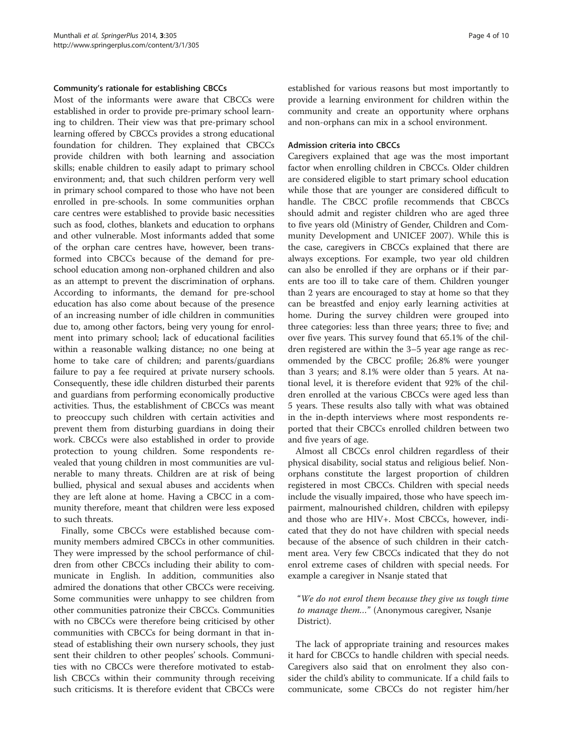#### Community's rationale for establishing CBCCs

Most of the informants were aware that CBCCs were established in order to provide pre-primary school learning to children. Their view was that pre-primary school learning offered by CBCCs provides a strong educational foundation for children. They explained that CBCCs provide children with both learning and association skills; enable children to easily adapt to primary school environment; and, that such children perform very well in primary school compared to those who have not been enrolled in pre-schools. In some communities orphan care centres were established to provide basic necessities such as food, clothes, blankets and education to orphans and other vulnerable. Most informants added that some of the orphan care centres have, however, been transformed into CBCCs because of the demand for preschool education among non-orphaned children and also as an attempt to prevent the discrimination of orphans. According to informants, the demand for pre-school education has also come about because of the presence of an increasing number of idle children in communities due to, among other factors, being very young for enrolment into primary school; lack of educational facilities within a reasonable walking distance; no one being at home to take care of children; and parents/guardians failure to pay a fee required at private nursery schools. Consequently, these idle children disturbed their parents and guardians from performing economically productive activities. Thus, the establishment of CBCCs was meant to preoccupy such children with certain activities and prevent them from disturbing guardians in doing their work. CBCCs were also established in order to provide protection to young children. Some respondents revealed that young children in most communities are vulnerable to many threats. Children are at risk of being bullied, physical and sexual abuses and accidents when they are left alone at home. Having a CBCC in a community therefore, meant that children were less exposed to such threats.

Finally, some CBCCs were established because community members admired CBCCs in other communities. They were impressed by the school performance of children from other CBCCs including their ability to communicate in English. In addition, communities also admired the donations that other CBCCs were receiving. Some communities were unhappy to see children from other communities patronize their CBCCs. Communities with no CBCCs were therefore being criticised by other communities with CBCCs for being dormant in that instead of establishing their own nursery schools, they just sent their children to other peoples' schools. Communities with no CBCCs were therefore motivated to establish CBCCs within their community through receiving such criticisms. It is therefore evident that CBCCs were

established for various reasons but most importantly to provide a learning environment for children within the community and create an opportunity where orphans and non-orphans can mix in a school environment.

#### Admission criteria into CBCCs

Caregivers explained that age was the most important factor when enrolling children in CBCCs. Older children are considered eligible to start primary school education while those that are younger are considered difficult to handle. The CBCC profile recommends that CBCCs should admit and register children who are aged three to five years old (Ministry of Gender, Children and Community Development and UNICEF [2007\)](#page-9-0). While this is the case, caregivers in CBCCs explained that there are always exceptions. For example, two year old children can also be enrolled if they are orphans or if their parents are too ill to take care of them. Children younger than 2 years are encouraged to stay at home so that they can be breastfed and enjoy early learning activities at home. During the survey children were grouped into three categories: less than three years; three to five; and over five years. This survey found that 65.1% of the children registered are within the 3–5 year age range as recommended by the CBCC profile; 26.8% were younger than 3 years; and 8.1% were older than 5 years. At national level, it is therefore evident that 92% of the children enrolled at the various CBCCs were aged less than 5 years. These results also tally with what was obtained in the in-depth interviews where most respondents reported that their CBCCs enrolled children between two and five years of age.

Almost all CBCCs enrol children regardless of their physical disability, social status and religious belief. Nonorphans constitute the largest proportion of children registered in most CBCCs. Children with special needs include the visually impaired, those who have speech impairment, malnourished children, children with epilepsy and those who are HIV+. Most CBCCs, however, indicated that they do not have children with special needs because of the absence of such children in their catchment area. Very few CBCCs indicated that they do not enrol extreme cases of children with special needs. For example a caregiver in Nsanje stated that

# "We do not enrol them because they give us tough time to manage them…" (Anonymous caregiver, Nsanje District).

The lack of appropriate training and resources makes it hard for CBCCs to handle children with special needs. Caregivers also said that on enrolment they also consider the child's ability to communicate. If a child fails to communicate, some CBCCs do not register him/her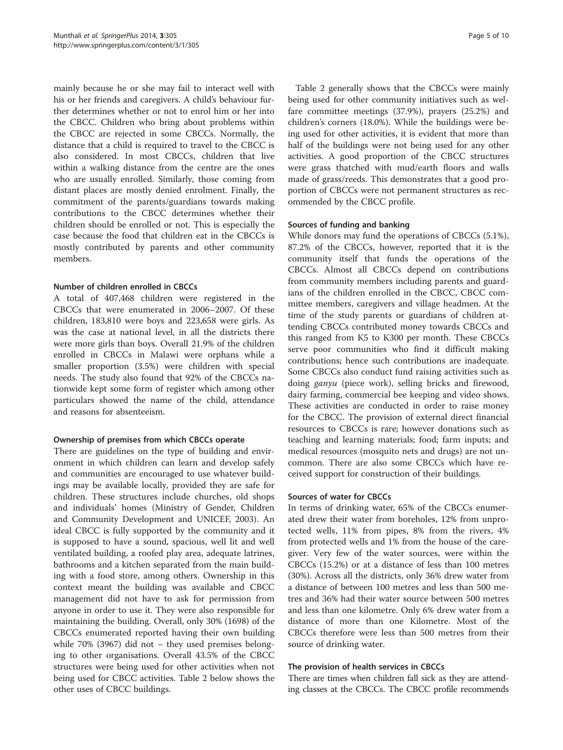mainly because he or she may fail to interact well with his or her friends and caregivers. A child's behaviour further determines whether or not to enrol him or her into the CBCC. Children who bring about problems within the CBCC are rejected in some CBCCs. Normally, the distance that a child is required to travel to the CBCC is also considered. In most CBCCs, children that live within a walking distance from the centre are the ones who are usually enrolled. Similarly, those coming from distant places are mostly denied enrolment. Finally, the commitment of the parents/guardians towards making contributions to the CBCC determines whether their children should be enrolled or not. This is especially the case because the food that children eat in the CBCCs is mostly contributed by parents and other community members.

## Number of children enrolled in CBCCs

A total of 407,468 children were registered in the CBCCs that were enumerated in 2006–2007. Of these children, 183,810 were boys and 223,658 were girls. As was the case at national level, in all the districts there were more girls than boys. Overall 21.9% of the children enrolled in CBCCs in Malawi were orphans while a smaller proportion (3.5%) were children with special needs. The study also found that 92% of the CBCCs nationwide kept some form of register which among other particulars showed the name of the child, attendance and reasons for absenteeism.

## Ownership of premises from which CBCCs operate

There are guidelines on the type of building and environment in which children can learn and develop safely and communities are encouraged to use whatever buildings may be available locally, provided they are safe for children. These structures include churches, old shops and individuals' homes (Ministry of Gender, Children and Community Development and UNICEF, 2003). An ideal CBCC is fully supported by the community and it is supposed to have a sound, spacious, well lit and well ventilated building, a roofed play area, adequate latrines, bathrooms and a kitchen separated from the main building with a food store, among others. Ownership in this context meant the building was available and CBCC management did not have to ask for permission from anyone in order to use it. They were also responsible for maintaining the building. Overall, only 30% (1698) of the CBCCs enumerated reported having their own building while 70% (3967) did not – they used premises belonging to other organisations. Overall 43.5% of the CBCC structures were being used for other activities when not being used for CBCC activities. Table [2](#page-5-0) below shows the other uses of CBCC buildings.

Table [2](#page-5-0) generally shows that the CBCCs were mainly being used for other community initiatives such as welfare committee meetings (37.9%), prayers (25.2%) and children's corners (18.0%). While the buildings were being used for other activities, it is evident that more than half of the buildings were not being used for any other activities. A good proportion of the CBCC structures were grass thatched with mud/earth floors and walls made of grass/reeds. This demonstrates that a good proportion of CBCCs were not permanent structures as recommended by the CBCC profile.

#### Sources of funding and banking

While donors may fund the operations of CBCCs (5.1%), 87.2% of the CBCCs, however, reported that it is the community itself that funds the operations of the CBCCs. Almost all CBCCs depend on contributions from community members including parents and guardians of the children enrolled in the CBCC, CBCC committee members, caregivers and village headmen. At the time of the study parents or guardians of children attending CBCCs contributed money towards CBCCs and this ranged from K5 to K300 per month. These CBCCs serve poor communities who find it difficult making contributions; hence such contributions are inadequate. Some CBCCs also conduct fund raising activities such as doing ganyu (piece work), selling bricks and firewood, dairy farming, commercial bee keeping and video shows. These activities are conducted in order to raise money for the CBCC. The provision of external direct financial resources to CBCCs is rare; however donations such as teaching and learning materials; food; farm inputs; and medical resources (mosquito nets and drugs) are not uncommon. There are also some CBCCs which have received support for construction of their buildings.

#### Sources of water for CBCCs

In terms of drinking water, 65% of the CBCCs enumerated drew their water from boreholes, 12% from unprotected wells, 11% from pipes, 8% from the rivers, 4% from protected wells and 1% from the house of the caregiver. Very few of the water sources, were within the CBCCs (15.2%) or at a distance of less than 100 metres (30%). Across all the districts, only 36% drew water from a distance of between 100 metres and less than 500 metres and 36% had their water source between 500 metres and less than one kilometre. Only 6% drew water from a distance of more than one Kilometre. Most of the CBCCs therefore were less than 500 metres from their source of drinking water.

## The provision of health services in CBCCs

There are times when children fall sick as they are attending classes at the CBCCs. The CBCC profile recommends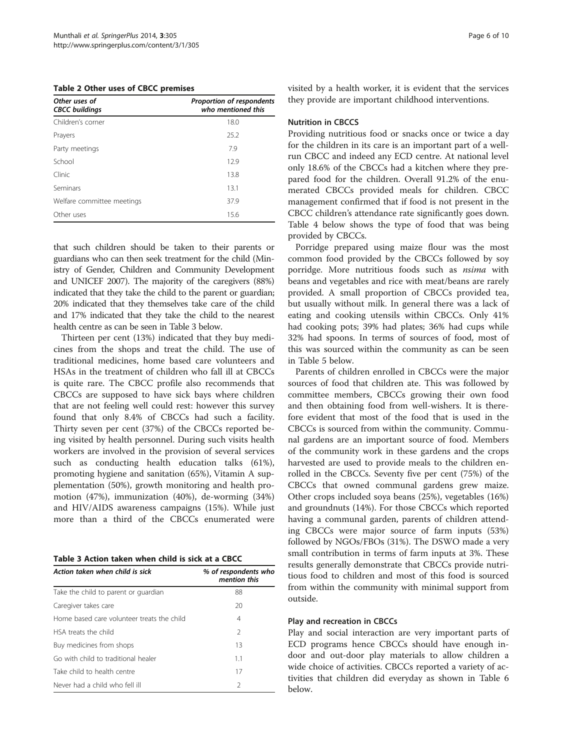<span id="page-5-0"></span>Table 2 Other uses of CBCC premises

| Other uses of<br><b>CBCC</b> buildings | Proportion of respondents<br>who mentioned this |  |  |
|----------------------------------------|-------------------------------------------------|--|--|
| Children's corner                      | 18.0                                            |  |  |
| Prayers                                | 25.2                                            |  |  |
| Party meetings                         | 7.9                                             |  |  |
| School                                 | 12.9                                            |  |  |
| Clinic                                 | 13.8                                            |  |  |
| Seminars                               | 13.1                                            |  |  |
| Welfare committee meetings             | 37.9                                            |  |  |
| Other uses                             | 15.6                                            |  |  |

that such children should be taken to their parents or guardians who can then seek treatment for the child (Ministry of Gender, Children and Community Development and UNICEF [2007](#page-9-0)). The majority of the caregivers (88%) indicated that they take the child to the parent or guardian; 20% indicated that they themselves take care of the child and 17% indicated that they take the child to the nearest health centre as can be seen in Table 3 below.

Thirteen per cent (13%) indicated that they buy medicines from the shops and treat the child. The use of traditional medicines, home based care volunteers and HSAs in the treatment of children who fall ill at CBCCs is quite rare. The CBCC profile also recommends that CBCCs are supposed to have sick bays where children that are not feeling well could rest: however this survey found that only 8.4% of CBCCs had such a facility. Thirty seven per cent (37%) of the CBCCs reported being visited by health personnel. During such visits health workers are involved in the provision of several services such as conducting health education talks (61%), promoting hygiene and sanitation (65%), Vitamin A supplementation (50%), growth monitoring and health promotion (47%), immunization (40%), de-worming (34%) and HIV/AIDS awareness campaigns (15%). While just more than a third of the CBCCs enumerated were

| Table 3 Action taken when child is sick at a CBCC |  |  |  |  |  |  |  |  |
|---------------------------------------------------|--|--|--|--|--|--|--|--|
|---------------------------------------------------|--|--|--|--|--|--|--|--|

| Action taken when child is sick            | % of respondents who<br>mention this |  |  |
|--------------------------------------------|--------------------------------------|--|--|
| Take the child to parent or quardian       | 88                                   |  |  |
| Caregiver takes care                       | 20                                   |  |  |
| Home based care volunteer treats the child | 4                                    |  |  |
| HSA treats the child                       | $\mathcal{L}$                        |  |  |
| Buy medicines from shops                   | 13                                   |  |  |
| Go with child to traditional healer        | 1.1                                  |  |  |
| Take child to health centre                | 17                                   |  |  |
| Never had a child who fell ill             | $\mathcal{P}$                        |  |  |

visited by a health worker, it is evident that the services they provide are important childhood interventions.

#### Nutrition in CBCCS

Providing nutritious food or snacks once or twice a day for the children in its care is an important part of a wellrun CBCC and indeed any ECD centre. At national level only 18.6% of the CBCCs had a kitchen where they prepared food for the children. Overall 91.2% of the enumerated CBCCs provided meals for children. CBCC management confirmed that if food is not present in the CBCC children's attendance rate significantly goes down. Table [4](#page-6-0) below shows the type of food that was being provided by CBCCs.

Porridge prepared using maize flour was the most common food provided by the CBCCs followed by soy porridge. More nutritious foods such as nsima with beans and vegetables and rice with meat/beans are rarely provided. A small proportion of CBCCs provided tea, but usually without milk. In general there was a lack of eating and cooking utensils within CBCCs. Only 41% had cooking pots; 39% had plates; 36% had cups while 32% had spoons. In terms of sources of food, most of this was sourced within the community as can be seen in Table [5](#page-6-0) below.

Parents of children enrolled in CBCCs were the major sources of food that children ate. This was followed by committee members, CBCCs growing their own food and then obtaining food from well-wishers. It is therefore evident that most of the food that is used in the CBCCs is sourced from within the community. Communal gardens are an important source of food. Members of the community work in these gardens and the crops harvested are used to provide meals to the children enrolled in the CBCCs. Seventy five per cent (75%) of the CBCCs that owned communal gardens grew maize. Other crops included soya beans (25%), vegetables (16%) and groundnuts (14%). For those CBCCs which reported having a communal garden, parents of children attending CBCCs were major source of farm inputs (53%) followed by NGOs/FBOs (31%). The DSWO made a very small contribution in terms of farm inputs at 3%. These results generally demonstrate that CBCCs provide nutritious food to children and most of this food is sourced from within the community with minimal support from outside.

#### Play and recreation in CBCCs

Play and social interaction are very important parts of ECD programs hence CBCCs should have enough indoor and out-door play materials to allow children a wide choice of activities. CBCCs reported a variety of activities that children did everyday as shown in Table [6](#page-6-0) below.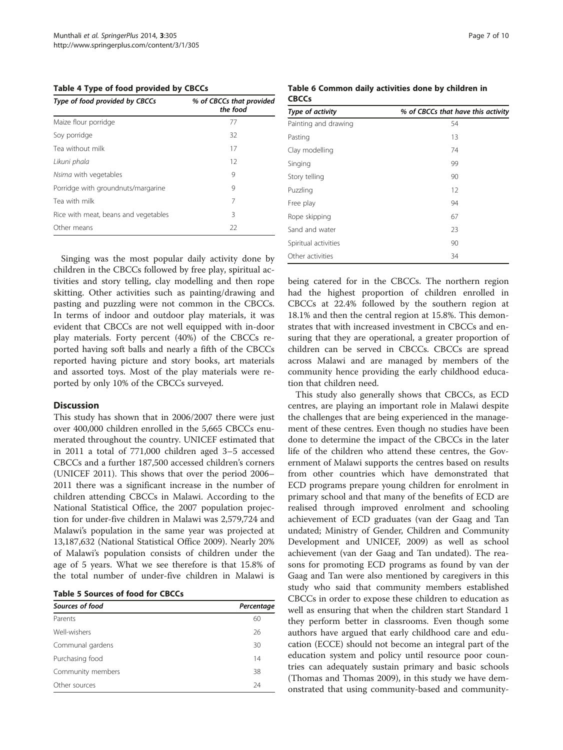<span id="page-6-0"></span>Table 4 Type of food provided by CBCCs

| Type of food provided by CBCCs       | % of CBCCs that provided<br>the food |
|--------------------------------------|--------------------------------------|
| Maize flour porridge                 | 77                                   |
| Soy porridge                         | 32                                   |
| Tea without milk                     | 17                                   |
| Likuni phala                         | 12                                   |
| Nsima with vegetables                | 9                                    |
| Porridge with groundnuts/margarine   | 9                                    |
| Tea with milk                        | 7                                    |
| Rice with meat, beans and vegetables | 3                                    |
| Other means                          | 22                                   |

Singing was the most popular daily activity done by children in the CBCCs followed by free play, spiritual activities and story telling, clay modelling and then rope skitting. Other activities such as painting/drawing and pasting and puzzling were not common in the CBCCs. In terms of indoor and outdoor play materials, it was evident that CBCCs are not well equipped with in-door play materials. Forty percent (40%) of the CBCCs reported having soft balls and nearly a fifth of the CBCCs reported having picture and story books, art materials and assorted toys. Most of the play materials were reported by only 10% of the CBCCs surveyed.

## **Discussion**

This study has shown that in 2006/2007 there were just over 400,000 children enrolled in the 5,665 CBCCs enumerated throughout the country. UNICEF estimated that in 2011 a total of 771,000 children aged 3–5 accessed CBCCs and a further 187,500 accessed children's corners (UNICEF [2011](#page-9-0)). This shows that over the period 2006– 2011 there was a significant increase in the number of children attending CBCCs in Malawi. According to the National Statistical Office, the 2007 population projection for under-five children in Malawi was 2,579,724 and Malawi's population in the same year was projected at 13,187,632 (National Statistical Office [2009](#page-9-0)). Nearly 20% of Malawi's population consists of children under the age of 5 years. What we see therefore is that 15.8% of the total number of under-five children in Malawi is

|  | <b>Table 5 Sources of food for CBCCs</b> |  |  |  |
|--|------------------------------------------|--|--|--|
|--|------------------------------------------|--|--|--|

| Sources of food   | Percentage |  |  |  |
|-------------------|------------|--|--|--|
| Parents           | 60         |  |  |  |
| Well-wishers      | 26         |  |  |  |
| Communal gardens  | 30         |  |  |  |
| Purchasing food   | 14         |  |  |  |
| Community members | 38         |  |  |  |
| Other sources     | 24         |  |  |  |

Table 6 Common daily activities done by children in **CBCCs** 

| Type of activity     | % of CBCCs that have this activity |
|----------------------|------------------------------------|
| Painting and drawing | 54                                 |
| Pasting              | 13                                 |
| Clay modelling       | 74                                 |
| Singing              | 99                                 |
| Story telling        | 90                                 |
| Puzzling             | 12                                 |
| Free play            | 94                                 |
| Rope skipping        | 67                                 |
| Sand and water       | 23                                 |
| Spiritual activities | 90                                 |
| Other activities     | 34                                 |

being catered for in the CBCCs. The northern region had the highest proportion of children enrolled in CBCCs at 22.4% followed by the southern region at 18.1% and then the central region at 15.8%. This demonstrates that with increased investment in CBCCs and ensuring that they are operational, a greater proportion of children can be served in CBCCs. CBCCs are spread across Malawi and are managed by members of the community hence providing the early childhood education that children need.

This study also generally shows that CBCCs, as ECD centres, are playing an important role in Malawi despite the challenges that are being experienced in the management of these centres. Even though no studies have been done to determine the impact of the CBCCs in the later life of the children who attend these centres, the Government of Malawi supports the centres based on results from other countries which have demonstrated that ECD programs prepare young children for enrolment in primary school and that many of the benefits of ECD are realised through improved enrolment and schooling achievement of ECD graduates ([van der Gaag and Tan](#page-9-0) [undated;](#page-9-0) Ministry of Gender, Children and Community Development and UNICEF, [2009](#page-9-0)) as well as school achievement ([van der Gaag and Tan undated\)](#page-9-0). The reasons for promoting ECD programs as found by van der Gaag and Tan were also mentioned by caregivers in this study who said that community members established CBCCs in order to expose these children to education as well as ensuring that when the children start Standard 1 they perform better in classrooms. Even though some authors have argued that early childhood care and education (ECCE) should not become an integral part of the education system and policy until resource poor countries can adequately sustain primary and basic schools (Thomas and Thomas [2009\)](#page-9-0), in this study we have demonstrated that using community-based and community-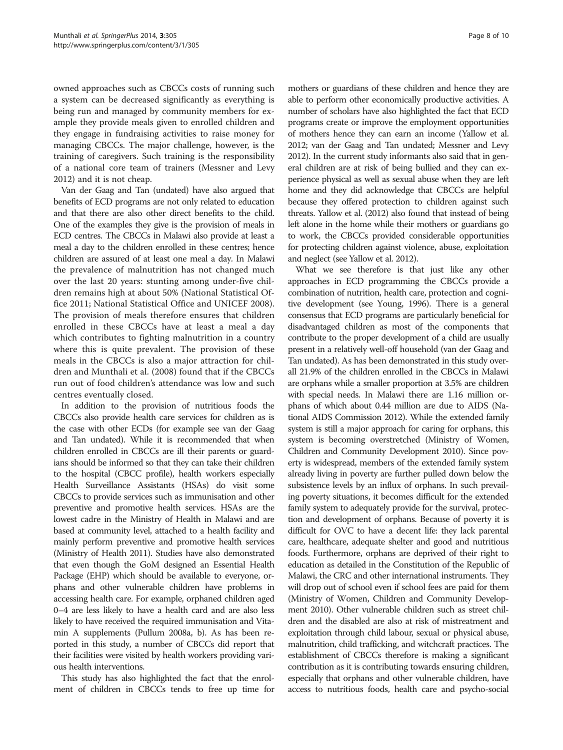owned approaches such as CBCCs costs of running such a system can be decreased significantly as everything is being run and managed by community members for example they provide meals given to enrolled children and they engage in fundraising activities to raise money for managing CBCCs. The major challenge, however, is the training of caregivers. Such training is the responsibility of a national core team of trainers (Messner and Levy [2012](#page-9-0)) and it is not cheap.

[Van der Gaag and Tan \(undated\)](#page-9-0) have also argued that benefits of ECD programs are not only related to education and that there are also other direct benefits to the child. One of the examples they give is the provision of meals in ECD centres. The CBCCs in Malawi also provide at least a meal a day to the children enrolled in these centres; hence children are assured of at least one meal a day. In Malawi the prevalence of malnutrition has not changed much over the last 20 years: stunting among under-five children remains high at about 50% (National Statistical Office [2011](#page-9-0); National Statistical Office and UNICEF [2008](#page-9-0)). The provision of meals therefore ensures that children enrolled in these CBCCs have at least a meal a day which contributes to fighting malnutrition in a country where this is quite prevalent. The provision of these meals in the CBCCs is also a major attraction for children and Munthali et al. ([2008\)](#page-9-0) found that if the CBCCs run out of food children's attendance was low and such centres eventually closed.

In addition to the provision of nutritious foods the CBCCs also provide health care services for children as is the case with other ECDs (for example see [van der Gaag](#page-9-0) [and Tan undated\)](#page-9-0). While it is recommended that when children enrolled in CBCCs are ill their parents or guardians should be informed so that they can take their children to the hospital (CBCC profile), health workers especially Health Surveillance Assistants (HSAs) do visit some CBCCs to provide services such as immunisation and other preventive and promotive health services. HSAs are the lowest cadre in the Ministry of Health in Malawi and are based at community level, attached to a health facility and mainly perform preventive and promotive health services (Ministry of Health [2011](#page-9-0)). Studies have also demonstrated that even though the GoM designed an Essential Health Package (EHP) which should be available to everyone, orphans and other vulnerable children have problems in accessing health care. For example, orphaned children aged 0–4 are less likely to have a health card and are also less likely to have received the required immunisation and Vitamin A supplements (Pullum [2008a, b\)](#page-9-0). As has been reported in this study, a number of CBCCs did report that their facilities were visited by health workers providing various health interventions.

This study has also highlighted the fact that the enrolment of children in CBCCs tends to free up time for

mothers or guardians of these children and hence they are able to perform other economically productive activities. A number of scholars have also highlighted the fact that ECD programs create or improve the employment opportunities of mothers hence they can earn an income (Yallow et al. [2012; van der Gaag and Tan undated](#page-9-0); Messner and Levy [2012\)](#page-9-0). In the current study informants also said that in general children are at risk of being bullied and they can experience physical as well as sexual abuse when they are left home and they did acknowledge that CBCCs are helpful because they offered protection to children against such threats. Yallow et al. [\(2012](#page-9-0)) also found that instead of being left alone in the home while their mothers or guardians go to work, the CBCCs provided considerable opportunities for protecting children against violence, abuse, exploitation and neglect (see Yallow et al. [2012\)](#page-9-0).

What we see therefore is that just like any other approaches in ECD programming the CBCCs provide a combination of nutrition, health care, protection and cognitive development (see Young, [1996](#page-9-0)). There is a general consensus that ECD programs are particularly beneficial for disadvantaged children as most of the components that contribute to the proper development of a child are usually present in a relatively well-off household [\(van der Gaag and](#page-9-0) [Tan undated\)](#page-9-0). As has been demonstrated in this study overall 21.9% of the children enrolled in the CBCCs in Malawi are orphans while a smaller proportion at 3.5% are children with special needs. In Malawi there are 1.16 million orphans of which about 0.44 million are due to AIDS (National AIDS Commission [2012\)](#page-9-0). While the extended family system is still a major approach for caring for orphans, this system is becoming overstretched (Ministry of Women, Children and Community Development [2010](#page-9-0)). Since poverty is widespread, members of the extended family system already living in poverty are further pulled down below the subsistence levels by an influx of orphans. In such prevailing poverty situations, it becomes difficult for the extended family system to adequately provide for the survival, protection and development of orphans. Because of poverty it is difficult for OVC to have a decent life: they lack parental care, healthcare, adequate shelter and good and nutritious foods. Furthermore, orphans are deprived of their right to education as detailed in the Constitution of the Republic of Malawi, the CRC and other international instruments. They will drop out of school even if school fees are paid for them (Ministry of Women, Children and Community Development [2010\)](#page-9-0). Other vulnerable children such as street children and the disabled are also at risk of mistreatment and exploitation through child labour, sexual or physical abuse, malnutrition, child trafficking, and witchcraft practices. The establishment of CBCCs therefore is making a significant contribution as it is contributing towards ensuring children, especially that orphans and other vulnerable children, have access to nutritious foods, health care and psycho-social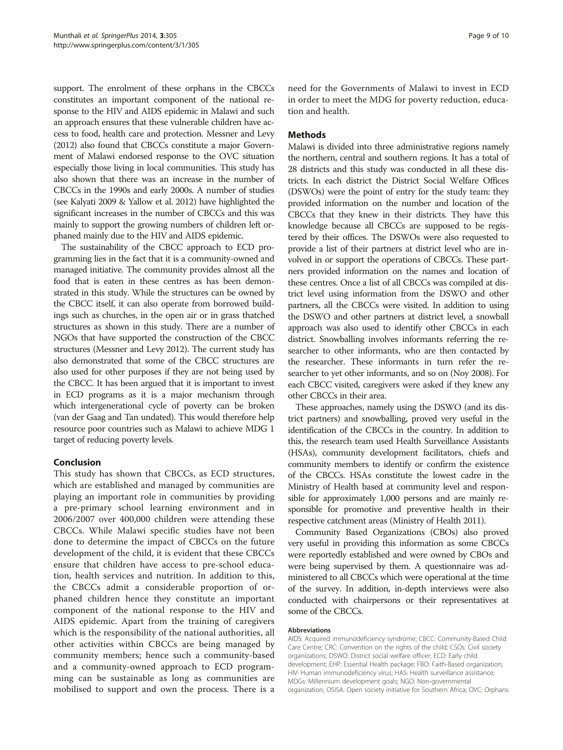support. The enrolment of these orphans in the CBCCs constitutes an important component of the national response to the HIV and AIDS epidemic in Malawi and such an approach ensures that these vulnerable children have access to food, health care and protection. Messner and Levy ([2012\)](#page-9-0) also found that CBCCs constitute a major Government of Malawi endorsed response to the OVC situation especially those living in local communities. This study has also shown that there was an increase in the number of CBCCs in the 1990s and early 2000s. A number of studies (see Kalyati 2009 & Yallow et al. [2012\)](#page-9-0) have highlighted the significant increases in the number of CBCCs and this was mainly to support the growing numbers of children left orphaned mainly due to the HIV and AIDS epidemic.

The sustainability of the CBCC approach to ECD programming lies in the fact that it is a community-owned and managed initiative. The community provides almost all the food that is eaten in these centres as has been demonstrated in this study. While the structures can be owned by the CBCC itself, it can also operate from borrowed buildings such as churches, in the open air or in grass thatched structures as shown in this study. There are a number of NGOs that have supported the construction of the CBCC structures (Messner and Levy [2012](#page-9-0)). The current study has also demonstrated that some of the CBCC structures are also used for other purposes if they are not being used by the CBCC. It has been argued that it is important to invest in ECD programs as it is a major mechanism through which intergenerational cycle of poverty can be broken ([van der Gaag and Tan undated\)](#page-9-0). This would therefore help resource poor countries such as Malawi to achieve MDG 1 target of reducing poverty levels.

# Conclusion

This study has shown that CBCCs, as ECD structures, which are established and managed by communities are playing an important role in communities by providing a pre-primary school learning environment and in 2006/2007 over 400,000 children were attending these CBCCs. While Malawi specific studies have not been done to determine the impact of CBCCs on the future development of the child, it is evident that these CBCCs ensure that children have access to pre-school education, health services and nutrition. In addition to this, the CBCCs admit a considerable proportion of orphaned children hence they constitute an important component of the national response to the HIV and AIDS epidemic. Apart from the training of caregivers which is the responsibility of the national authorities, all other activities within CBCCs are being managed by community members; hence such a community-based and a community-owned approach to ECD programming can be sustainable as long as communities are mobilised to support and own the process. There is a

need for the Governments of Malawi to invest in ECD in order to meet the MDG for poverty reduction, education and health.

# **Methods**

Malawi is divided into three administrative regions namely the northern, central and southern regions. It has a total of 28 districts and this study was conducted in all these districts. In each district the District Social Welfare Offices (DSWOs) were the point of entry for the study team: they provided information on the number and location of the CBCCs that they knew in their districts. They have this knowledge because all CBCCs are supposed to be registered by their offices. The DSWOs were also requested to provide a list of their partners at district level who are involved in or support the operations of CBCCs. These partners provided information on the names and location of these centres. Once a list of all CBCCs was compiled at district level using information from the DSWO and other partners, all the CBCCs were visited. In addition to using the DSWO and other partners at district level, a snowball approach was also used to identify other CBCCs in each district. Snowballing involves informants referring the researcher to other informants, who are then contacted by the researcher. These informants in turn refer the researcher to yet other informants, and so on (Noy [2008](#page-9-0)). For each CBCC visited, caregivers were asked if they knew any other CBCCs in their area.

These approaches, namely using the DSWO (and its district partners) and snowballing, proved very useful in the identification of the CBCCs in the country. In addition to this, the research team used Health Surveillance Assistants (HSAs), community development facilitators, chiefs and community members to identify or confirm the existence of the CBCCs. HSAs constitute the lowest cadre in the Ministry of Health based at community level and responsible for approximately 1,000 persons and are mainly responsible for promotive and preventive health in their respective catchment areas (Ministry of Health [2011](#page-9-0)).

Community Based Organizations (CBOs) also proved very useful in providing this information as some CBCCs were reportedly established and were owned by CBOs and were being supervised by them. A questionnaire was administered to all CBCCs which were operational at the time of the survey. In addition, in-depth interviews were also conducted with chairpersons or their representatives at some of the CBCCs.

#### Abbreviations

AIDS: Acquired immunodeficiency syndrome; CBCC: Community-Based Child Care Centre; CRC: Convention on the rights of the child; CSOs: Civil society organizations; DSWO: District social welfare officer; ECD: Early child development; EHP: Essential Health package; FBO: Faith-Based organization; HIV: Human immunodeficiency virus; HAS: Health surveillance assistance; MDGs: Millennium development goals; NGO: Non-governmental organization; OSISA: Open society initiative for Southern Africa; OVC: Orphans